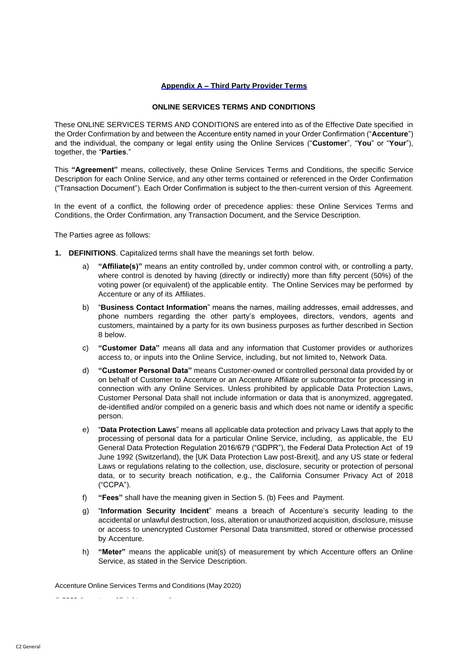### **Appendix A – Third Party Provider Terms**

### **ONLINE SERVICES TERMS AND CONDITIONS**

These ONLINE SERVICES TERMS AND CONDITIONS are entered into as of the Effective Date specified in the Order Confirmation by and between the Accenture entity named in your Order Confirmation ("**Accenture**") and the individual, the company or legal entity using the Online Services ("**Customer**", "**You**" or "**Your**"), together, the "**Parties**."

This **"Agreement"** means, collectively, these Online Services Terms and Conditions, the specific Service Description for each Online Service, and any other terms contained or referenced in the Order Confirmation ("Transaction Document"). Each Order Confirmation is subject to the then-current version of this Agreement.

In the event of a conflict, the following order of precedence applies: these Online Services Terms and Conditions, the Order Confirmation, any Transaction Document, and the Service Description.

The Parties agree as follows:

- **1. DEFINITIONS**. Capitalized terms shall have the meanings set forth below.
	- a) **"Affiliate(s)"** means an entity controlled by, under common control with, or controlling a party, where control is denoted by having (directly or indirectly) more than fifty percent (50%) of the voting power (or equivalent) of the applicable entity. The Online Services may be performed by Accenture or any of its Affiliates.
	- b) "**Business Contact Information**" means the names, mailing addresses, email addresses, and phone numbers regarding the other party's employees, directors, vendors, agents and customers, maintained by a party for its own business purposes as further described in Section 8 below.
	- c) **"Customer Data"** means all data and any information that Customer provides or authorizes access to, or inputs into the Online Service, including, but not limited to, Network Data.
	- d) **"Customer Personal Data"** means Customer-owned or controlled personal data provided by or on behalf of Customer to Accenture or an Accenture Affiliate or subcontractor for processing in connection with any Online Services. Unless prohibited by applicable Data Protection Laws, Customer Personal Data shall not include information or data that is anonymized, aggregated, de-identified and/or compiled on a generic basis and which does not name or identify a specific person.
	- e) "**Data Protection Laws**" means all applicable data protection and privacy Laws that apply to the processing of personal data for a particular Online Service, including, as applicable, the EU General Data Protection Regulation 2016/679 ("GDPR"), the Federal Data Protection Act of 19 June 1992 (Switzerland), the [UK Data Protection Law post-Brexit], and any US state or federal Laws or regulations relating to the collection, use, disclosure, security or protection of personal data, or to security breach notification, e.g., the California Consumer Privacy Act of 2018 ("CCPA").
	- f) **"Fees"** shall have the meaning given in Section 5. (b) Fees and Payment.
	- g) "**Information Security Incident**" means a breach of Accenture's security leading to the accidental or unlawful destruction, loss, alteration or unauthorized acquisition, disclosure, misuse or access to unencrypted Customer Personal Data transmitted, stored or otherwise processed by Accenture.
	- h) **"Meter"** means the applicable unit(s) of measurement by which Accenture offers an Online Service, as stated in the Service Description.

Accenture Online Services Terms and Conditions (May 2020)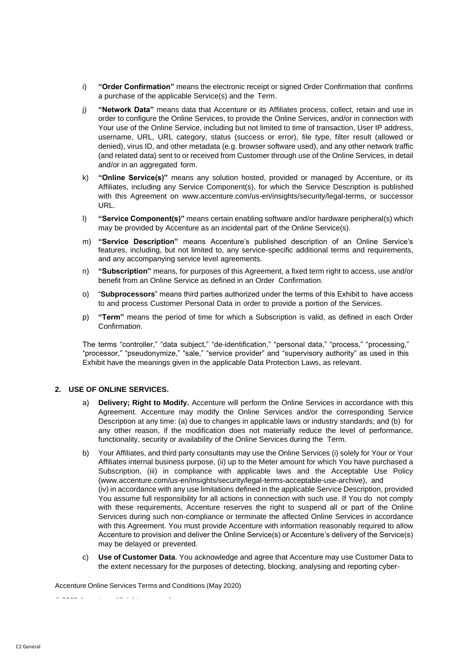- i) **"Order Confirmation"** means the electronic receipt or signed Order Confirmation that confirms a purchase of the applicable Service(s) and the Term.
- j) **"Network Data"** means data that Accenture or its Affiliates process, collect, retain and use in order to configure the Online Services, to provide the Online Services, and/or in connection with Your use of the Online Service, including but not limited to time of transaction, User IP address, username, URL, URL category, status (success or error), file type, filter result (allowed or denied), virus ID, and other metadata (e.g. browser software used), and any other network traffic (and related data) sent to or received from Customer through use of the Online Services, in detail and/or in an aggregated form.
- k) **"Online Service(s)"** means any solution hosted, provided or managed by Accenture, or its Affiliates, including any Service Component(s), for which the Service Description is published with this Agreement on [www.accenture.com/us-en/insights/security/legal-terms, o](http://www.accenture.com/us-en/insights/security/legal-terms)r successor URL.
- l) **"Service Component(s)"** means certain enabling software and/or hardware peripheral(s) which may be provided by Accenture as an incidental part of the Online Service(s).
- m) **"Service Description"** means Accenture's published description of an Online Service's features, including, but not limited to, any service-specific additional terms and requirements, and any accompanying service level agreements.
- n) **"Subscription"** means, for purposes of this Agreement, a fixed term right to access, use and/or benefit from an Online Service as defined in an Order Confirmation.
- o) "**Subprocessors**" means third parties authorized under the terms of this Exhibit to have access to and process Customer Personal Data in order to provide a portion of the Services.
- p) **"Term"** means the period of time for which a Subscription is valid, as defined in each Order Confirmation.

The terms "controller," "data subject," "de-identification," "personal data," "process," "processing," "processor," "pseudonymize," "sale," "service provider" and "supervisory authority" as used in this Exhibit have the meanings given in the applicable Data Protection Laws, as relevant.

### **2. USE OF ONLINE SERVICES.**

- a) **Delivery; Right to Modify.** Accenture will perform the Online Services in accordance with this Agreement. Accenture may modify the Online Services and/or the corresponding Service Description at any time: (a) due to changes in applicable laws or industry standards; and (b) for any other reason, if the modification does not materially reduce the level of performance, functionality, security or availability of the Online Services during the Term.
- b) Your Affiliates, and third party consultants may use the Online Services (i) solely for Your or Your Affiliates internal business purpose, (ii) up to the Meter amount for which You have purchased a Subscription, (iii) in compliance with applicable laws and the Acceptable Use Policy [\(www.accenture.com/us-en/insights/security/legal-terms-acceptable-use-archive\),](https://www.accenture.com/us-en/support/security/legal-terms-acceptable-use-archive) and (iv) in accordance with any use limitations defined in the applicable Service Description, provided You assume full responsibility for all actions in connection with such use. If You do not comply with these requirements, Accenture reserves the right to suspend all or part of the Online Services during such non-compliance or terminate the affected Online Services in accordance with this Agreement. You must provide Accenture with information reasonably required to allow Accenture to provision and deliver the Online Service(s) or Accenture's delivery of the Service(s) may be delayed or prevented.
- c) **Use of Customer Data**. You acknowledge and agree that Accenture may use Customer Data to the extent necessary for the purposes of detecting, blocking, analysing and reporting cyber-

Accenture Online Services Terms and Conditions (May 2020)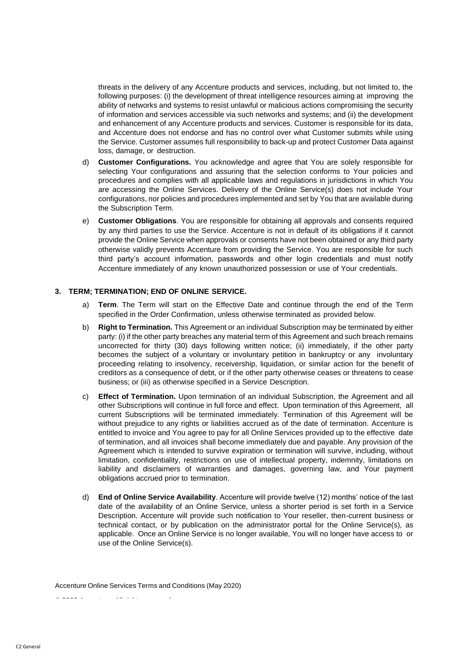threats in the delivery of any Accenture products and services, including, but not limited to, the following purposes: (i) the development of threat intelligence resources aiming at improving the ability of networks and systems to resist unlawful or malicious actions compromising the security of information and services accessible via such networks and systems; and (ii) the development and enhancement of any Accenture products and services. Customer is responsible for its data, and Accenture does not endorse and has no control over what Customer submits while using the Service. Customer assumes full responsibility to back-up and protect Customer Data against loss, damage, or destruction.

- d) **Customer Configurations.** You acknowledge and agree that You are solely responsible for selecting Your configurations and assuring that the selection conforms to Your policies and procedures and complies with all applicable laws and regulations in jurisdictions in which You are accessing the Online Services. Delivery of the Online Service(s) does not include Your configurations, nor policies and procedures implemented and set by You that are available during the Subscription Term.
- e) **Customer Obligations**. You are responsible for obtaining all approvals and consents required by any third parties to use the Service. Accenture is not in default of its obligations if it cannot provide the Online Service when approvals or consents have not been obtained or any third party otherwise validly prevents Accenture from providing the Service. You are responsible for such third party's account information, passwords and other login credentials and must notify Accenture immediately of any known unauthorized possession or use of Your credentials.

### **3. TERM; TERMINATION; END OF ONLINE SERVICE.**

- a) **Term**. The Term will start on the Effective Date and continue through the end of the Term specified in the Order Confirmation, unless otherwise terminated as provided below.
- b) **Right to Termination.** This Agreement or an individual Subscription may be terminated by either party: (i) if the other party breaches any material term of this Agreement and such breach remains uncorrected for thirty (30) days following written notice; (ii) immediately, if the other party becomes the subject of a voluntary or involuntary petition in bankruptcy or any involuntary proceeding relating to insolvency, receivership, liquidation, or similar action for the benefit of creditors as a consequence of debt, or if the other party otherwise ceases or threatens to cease business; or (iii) as otherwise specified in a Service Description.
- c) **Effect of Termination.** Upon termination of an individual Subscription, the Agreement and all other Subscriptions will continue in full force and effect. Upon termination of this Agreement, all current Subscriptions will be terminated immediately. Termination of this Agreement will be without prejudice to any rights or liabilities accrued as of the date of termination. Accenture is entitled to invoice and You agree to pay for all Online Services provided up to the effective date of termination, and all invoices shall become immediately due and payable. Any provision of the Agreement which is intended to survive expiration or termination will survive, including, without limitation, confidentiality, restrictions on use of intellectual property, indemnity, limitations on liability and disclaimers of warranties and damages, governing law, and Your payment obligations accrued prior to termination.
- d) **End of Online Service Availability**. Accenture will provide twelve (12) months' notice of the last date of the availability of an Online Service, unless a shorter period is set forth in a Service Description. Accenture will provide such notification to Your reseller, then-current business or technical contact, or by publication on the administrator portal for the Online Service(s), as applicable. Once an Online Service is no longer available, You will no longer have access to or use of the Online Service(s).

Accenture Online Services Terms and Conditions (May 2020)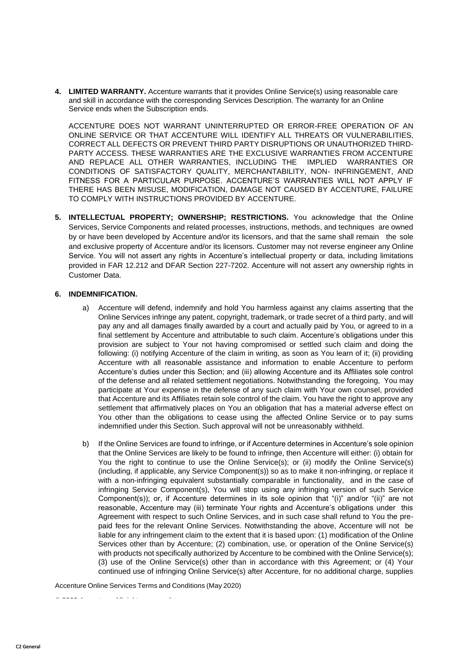**4. LIMITED WARRANTY.** Accenture warrants that it provides Online Service(s) using reasonable care and skill in accordance with the corresponding Services Description. The warranty for an Online Service ends when the Subscription ends.

ACCENTURE DOES NOT WARRANT UNINTERRUPTED OR ERROR-FREE OPERATION OF AN ONLINE SERVICE OR THAT ACCENTURE WILL IDENTIFY ALL THREATS OR VULNERABILITIES, CORRECT ALL DEFECTS OR PREVENT THIRD PARTY DISRUPTIONS OR UNAUTHORIZED THIRD-PARTY ACCESS. THESE WARRANTIES ARE THE EXCLUSIVE WARRANTIES FROM ACCENTURE AND REPLACE ALL OTHER WARRANTIES, INCLUDING THE IMPLIED WARRANTIES OR CONDITIONS OF SATISFACTORY QUALITY, MERCHANTABILITY, NON- INFRINGEMENT, AND FITNESS FOR A PARTICULAR PURPOSE. ACCENTURE'S WARRANTIES WILL NOT APPLY IF THERE HAS BEEN MISUSE, MODIFICATION, DAMAGE NOT CAUSED BY ACCENTURE, FAILURE TO COMPLY WITH INSTRUCTIONS PROVIDED BY ACCENTURE.

**5. INTELLECTUAL PROPERTY; OWNERSHIP; RESTRICTIONS.** You acknowledge that the Online Services, Service Components and related processes, instructions, methods, and techniques are owned by or have been developed by Accenture and/or its licensors, and that the same shall remain the sole and exclusive property of Accenture and/or its licensors. Customer may not reverse engineer any Online Service. You will not assert any rights in Accenture's intellectual property or data, including limitations provided in FAR 12.212 and DFAR Section 227-7202. Accenture will not assert any ownership rights in Customer Data.

### **6. INDEMNIFICATION.**

- a) Accenture will defend, indemnify and hold You harmless against any claims asserting that the Online Services infringe any patent, copyright, trademark, or trade secret of a third party, and will pay any and all damages finally awarded by a court and actually paid by You, or agreed to in a final settlement by Accenture and attributable to such claim. Accenture's obligations under this provision are subject to Your not having compromised or settled such claim and doing the following: (i) notifying Accenture of the claim in writing, as soon as You learn of it; (ii) providing Accenture with all reasonable assistance and information to enable Accenture to perform Accenture's duties under this Section; and (iii) allowing Accenture and its Affiliates sole control of the defense and all related settlement negotiations. Notwithstanding the foregoing, You may participate at Your expense in the defense of any such claim with Your own counsel, provided that Accenture and its Affiliates retain sole control of the claim. You have the right to approve any settlement that affirmatively places on You an obligation that has a material adverse effect on You other than the obligations to cease using the affected Online Service or to pay sums indemnified under this Section. Such approval will not be unreasonably withheld.
- b) If the Online Services are found to infringe, or if Accenture determines in Accenture's sole opinion that the Online Services are likely to be found to infringe, then Accenture will either: (i) obtain for You the right to continue to use the Online Service(s); or (ii) modify the Online Service(s) (including, if applicable, any Service Component(s)) so as to make it non-infringing, or replace it with a non-infringing equivalent substantially comparable in functionality, and in the case of infringing Service Component(s), You will stop using any infringing version of such Service Component(s)); or, if Accenture determines in its sole opinion that "(i)" and/or "(ii)" are not reasonable, Accenture may (iii) terminate Your rights and Accenture's obligations under this Agreement with respect to such Online Services, and in such case shall refund to You the prepaid fees for the relevant Online Services. Notwithstanding the above, Accenture will not be liable for any infringement claim to the extent that it is based upon: (1) modification of the Online Services other than by Accenture; (2) combination, use, or operation of the Online Service(s) with products not specifically authorized by Accenture to be combined with the Online Service(s); (3) use of the Online Service(s) other than in accordance with this Agreement; or (4) Your continued use of infringing Online Service(s) after Accenture, for no additional charge, supplies

Accenture Online Services Terms and Conditions (May 2020)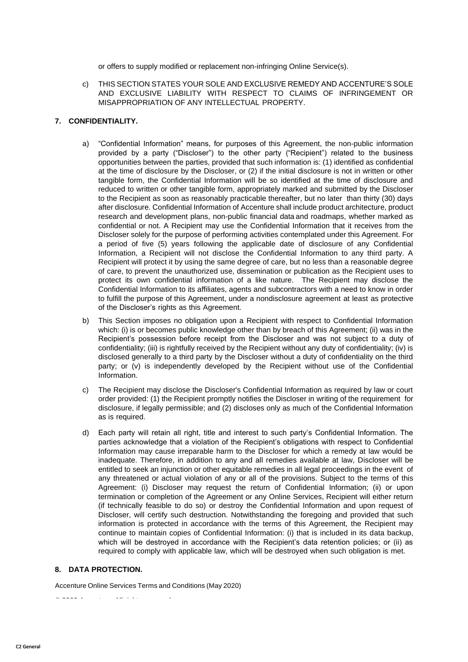or offers to supply modified or replacement non-infringing Online Service(s).

c) THIS SECTION STATES YOUR SOLE AND EXCLUSIVE REMEDY AND ACCENTURE'S SOLE AND EXCLUSIVE LIABILITY WITH RESPECT TO CLAIMS OF INFRINGEMENT OR MISAPPROPRIATION OF ANY INTELLECTUAL PROPERTY.

#### **7. CONFIDENTIALITY.**

- a) "Confidential Information" means, for purposes of this Agreement, the non-public information provided by a party ("Discloser") to the other party ("Recipient") related to the business opportunities between the parties, provided that such information is: (1) identified as confidential at the time of disclosure by the Discloser, or (2) if the initial disclosure is not in written or other tangible form, the Confidential Information will be so identified at the time of disclosure and reduced to written or other tangible form, appropriately marked and submitted by the Discloser to the Recipient as soon as reasonably practicable thereafter, but no later than thirty (30) days after disclosure. Confidential Information of Accenture shall include product architecture, product research and development plans, non-public financial data and roadmaps, whether marked as confidential or not. A Recipient may use the Confidential Information that it receives from the Discloser solely for the purpose of performing activities contemplated under this Agreement. For a period of five (5) years following the applicable date of disclosure of any Confidential Information, a Recipient will not disclose the Confidential Information to any third party. A Recipient will protect it by using the same degree of care, but no less than a reasonable degree of care, to prevent the unauthorized use, dissemination or publication as the Recipient uses to protect its own confidential information of a like nature. The Recipient may disclose the Confidential Information to its affiliates, agents and subcontractors with a need to know in order to fulfill the purpose of this Agreement, under a nondisclosure agreement at least as protective of the Discloser's rights as this Agreement.
- b) This Section imposes no obligation upon a Recipient with respect to Confidential Information which: (i) is or becomes public knowledge other than by breach of this Agreement; (ii) was in the Recipient's possession before receipt from the Discloser and was not subject to a duty of confidentiality; (iii) is rightfully received by the Recipient without any duty of confidentiality; (iv) is disclosed generally to a third party by the Discloser without a duty of confidentiality on the third party; or (v) is independently developed by the Recipient without use of the Confidential Information.
- c) The Recipient may disclose the Discloser's Confidential Information as required by law or court order provided: (1) the Recipient promptly notifies the Discloser in writing of the requirement for disclosure, if legally permissible; and (2) discloses only as much of the Confidential Information as is required.
- d) Each party will retain all right, title and interest to such party's Confidential Information. The parties acknowledge that a violation of the Recipient's obligations with respect to Confidential Information may cause irreparable harm to the Discloser for which a remedy at law would be inadequate. Therefore, in addition to any and all remedies available at law, Discloser will be entitled to seek an injunction or other equitable remedies in all legal proceedings in the event of any threatened or actual violation of any or all of the provisions. Subject to the terms of this Agreement: (i) Discloser may request the return of Confidential Information; (ii) or upon termination or completion of the Agreement or any Online Services, Recipient will either return (if technically feasible to do so) or destroy the Confidential Information and upon request of Discloser, will certify such destruction. Notwithstanding the foregoing and provided that such information is protected in accordance with the terms of this Agreement, the Recipient may continue to maintain copies of Confidential Information: (i) that is included in its data backup, which will be destroyed in accordance with the Recipient's data retention policies; or (ii) as required to comply with applicable law, which will be destroyed when such obligation is met.

#### **8. DATA PROTECTION.**

Accenture Online Services Terms and Conditions (May 2020)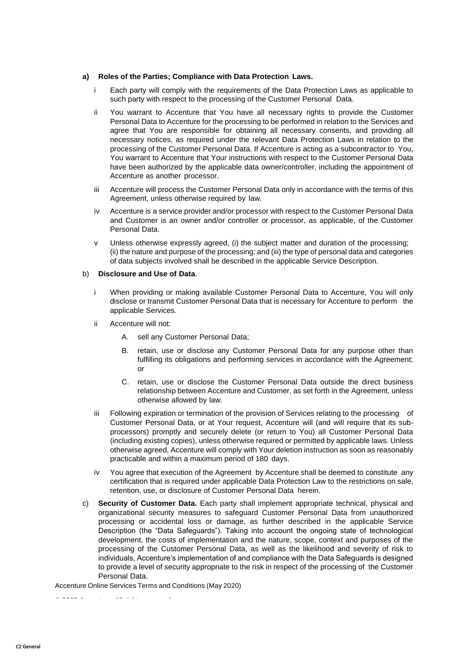#### **a) Roles of the Parties; Compliance with Data Protection Laws.**

- i Each party will comply with the requirements of the Data Protection Laws as applicable to such party with respect to the processing of the Customer Personal Data.
- ii You warrant to Accenture that You have all necessary rights to provide the Customer Personal Data to Accenture for the processing to be performed in relation to the Services and agree that You are responsible for obtaining all necessary consents, and providing all necessary notices, as required under the relevant Data Protection Laws in relation to the processing of the Customer Personal Data. If Accenture is acting as a subcontractor to You, You warrant to Accenture that Your instructions with respect to the Customer Personal Data have been authorized by the applicable data owner/controller, including the appointment of Accenture as another processor.
- iii Accenture will process the Customer Personal Data only in accordance with the terms of this Agreement, unless otherwise required by law.
- iv Accenture is a service provider and/or processor with respect to the Customer Personal Data and Customer is an owner and/or controller or processor, as applicable, of the Customer Personal Data.
- v Unless otherwise expressly agreed, (i) the subject matter and duration of the processing; (ii) the nature and purpose of the processing; and (iii) the type of personal data and categories of data subjects involved shall be described in the applicable Service Description.

### b) **Disclosure and Use of Data**.

- i When providing or making available Customer Personal Data to Accenture, You will only disclose or transmit Customer Personal Data that is necessary for Accenture to perform the applicable Services.
- ii Accenture will not:
	- A. sell any Customer Personal Data;
	- B. retain, use or disclose any Customer Personal Data for any purpose other than fulfilling its obligations and performing services in accordance with the Agreement; or
	- C. retain, use or disclose the Customer Personal Data outside the direct business relationship between Accenture and Customer, as set forth in the Agreement, unless otherwise allowed by law.
- iii Following expiration or termination of the provision of Services relating to the processing of Customer Personal Data, or at Your request, Accenture will (and will require that its subprocessors) promptly and securely delete (or return to You) all Customer Personal Data (including existing copies), unless otherwise required or permitted by applicable laws. Unless otherwise agreed, Accenture will comply with Your deletion instruction as soon as reasonably practicable and within a maximum period of 180 days.
- iv You agree that execution of the Agreement by Accenture shall be deemed to constitute any certification that is required under applicable Data Protection Law to the restrictions on sale, retention, use, or disclosure of Customer Personal Data herein.
- c) **Security of Customer Data.** Each party shall implement appropriate technical, physical and organizational security measures to safeguard Customer Personal Data from unauthorized processing or accidental loss or damage, as further described in the applicable Service Description (the "Data Safeguards"). Taking into account the ongoing state of technological development, the costs of implementation and the nature, scope, context and purposes of the processing of the Customer Personal Data, as well as the likelihood and severity of risk to individuals, Accenture's implementation of and compliance with the Data Safeguards is designed to provide a level of security appropriate to the risk in respect of the processing of the Customer Personal Data.

Accenture Online Services Terms and Conditions (May 2020)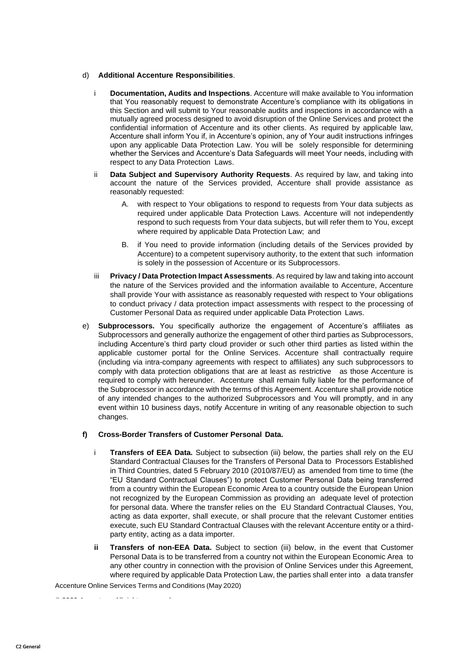#### d) **Additional Accenture Responsibilities**.

- i **Documentation, Audits and Inspections**. Accenture will make available to You information that You reasonably request to demonstrate Accenture's compliance with its obligations in this Section and will submit to Your reasonable audits and inspections in accordance with a mutually agreed process designed to avoid disruption of the Online Services and protect the confidential information of Accenture and its other clients. As required by applicable law, Accenture shall inform You if, in Accenture's opinion, any of Your audit instructions infringes upon any applicable Data Protection Law. You will be solely responsible for determining whether the Services and Accenture's Data Safeguards will meet Your needs, including with respect to any Data Protection Laws.
- ii **Data Subject and Supervisory Authority Requests**. As required by law, and taking into account the nature of the Services provided, Accenture shall provide assistance as reasonably requested:
	- A. with respect to Your obligations to respond to requests from Your data subjects as required under applicable Data Protection Laws. Accenture will not independently respond to such requests from Your data subjects, but will refer them to You, except where required by applicable Data Protection Law; and
	- B. if You need to provide information (including details of the Services provided by Accenture) to a competent supervisory authority, to the extent that such information is solely in the possession of Accenture or its Subprocessors.
- iii **Privacy / Data Protection Impact Assessments**. As required by law and taking into account the nature of the Services provided and the information available to Accenture, Accenture shall provide Your with assistance as reasonably requested with respect to Your obligations to conduct privacy / data protection impact assessments with respect to the processing of Customer Personal Data as required under applicable Data Protection Laws.
- e) **Subprocessors.** You specifically authorize the engagement of Accenture's affiliates as Subprocessors and generally authorize the engagement of other third parties as Subprocessors, including Accenture's third party cloud provider or such other third parties as listed within the applicable customer portal for the Online Services. Accenture shall contractually require (including via intra-company agreements with respect to affiliates) any such subprocessors to comply with data protection obligations that are at least as restrictive as those Accenture is required to comply with hereunder. Accenture shall remain fully liable for the performance of the Subprocessor in accordance with the terms of this Agreement. Accenture shall provide notice of any intended changes to the authorized Subprocessors and You will promptly, and in any event within 10 business days, notify Accenture in writing of any reasonable objection to such changes.

### **f) Cross-Border Transfers of Customer Personal Data.**

- i **Transfers of EEA Data.** Subject to subsection (iii) below, the parties shall rely on the EU Standard Contractual Clauses for the Transfers of Personal Data to Processors Established in Third Countries, dated 5 February 2010 (2010/87/EU) as amended from time to time (the "EU Standard Contractual Clauses") to protect Customer Personal Data being transferred from a country within the European Economic Area to a country outside the European Union not recognized by the European Commission as providing an adequate level of protection for personal data. Where the transfer relies on the EU Standard Contractual Clauses, You, acting as data exporter, shall execute, or shall procure that the relevant Customer entities execute, such EU Standard Contractual Clauses with the relevant Accenture entity or a thirdparty entity, acting as a data importer.
- **ii Transfers of non-EEA Data.** Subject to section (iii) below, in the event that Customer Personal Data is to be transferred from a country not within the European Economic Area to any other country in connection with the provision of Online Services under this Agreement, where required by applicable Data Protection Law, the parties shall enter into a data transfer

Accenture Online Services Terms and Conditions (May 2020)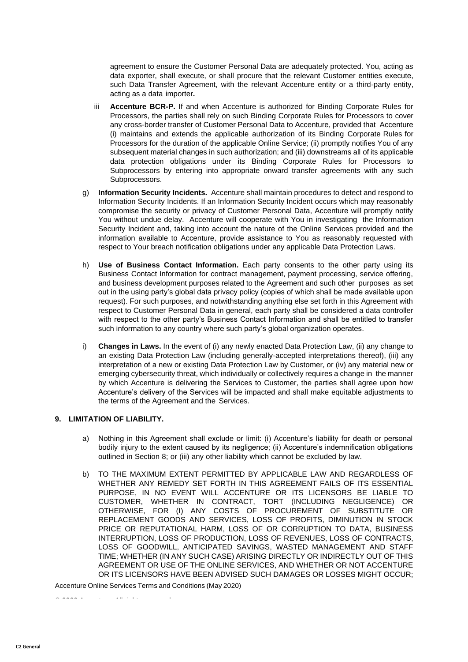agreement to ensure the Customer Personal Data are adequately protected. You, acting as data exporter, shall execute, or shall procure that the relevant Customer entities execute, such Data Transfer Agreement, with the relevant Accenture entity or a third-party entity, acting as a data importer**.**

- iii **Accenture BCR-P.** If and when Accenture is authorized for Binding Corporate Rules for Processors, the parties shall rely on such Binding Corporate Rules for Processors to cover any cross-border transfer of Customer Personal Data to Accenture, provided that Accenture (i) maintains and extends the applicable authorization of its Binding Corporate Rules for Processors for the duration of the applicable Online Service; (ii) promptly notifies You of any subsequent material changes in such authorization; and (iii) downstreams all of its applicable data protection obligations under its Binding Corporate Rules for Processors to Subprocessors by entering into appropriate onward transfer agreements with any such Subprocessors.
- g) **Information Security Incidents.** Accenture shall maintain procedures to detect and respond to Information Security Incidents. If an Information Security Incident occurs which may reasonably compromise the security or privacy of Customer Personal Data, Accenture will promptly notify You without undue delay. Accenture will cooperate with You in investigating the Information Security Incident and, taking into account the nature of the Online Services provided and the information available to Accenture, provide assistance to You as reasonably requested with respect to Your breach notification obligations under any applicable Data Protection Laws.
- h) **Use of Business Contact Information.** Each party consents to the other party using its Business Contact Information for contract management, payment processing, service offering, and business development purposes related to the Agreement and such other purposes as set out in the using party's global data privacy policy (copies of which shall be made available upon request). For such purposes, and notwithstanding anything else set forth in this Agreement with respect to Customer Personal Data in general, each party shall be considered a data controller with respect to the other party's Business Contact Information and shall be entitled to transfer such information to any country where such party's global organization operates.
- i) **Changes in Laws.** In the event of (i) any newly enacted Data Protection Law, (ii) any change to an existing Data Protection Law (including generally-accepted interpretations thereof), (iii) any interpretation of a new or existing Data Protection Law by Customer, or (iv) any material new or emerging cybersecurity threat, which individually or collectively requires a change in the manner by which Accenture is delivering the Services to Customer, the parties shall agree upon how Accenture's delivery of the Services will be impacted and shall make equitable adjustments to the terms of the Agreement and the Services.

# **9. LIMITATION OF LIABILITY.**

- a) Nothing in this Agreement shall exclude or limit: (i) Accenture's liability for death or personal bodily injury to the extent caused by its negligence; (ii) Accenture's indemnification obligations outlined in Section 8; or (iii) any other liability which cannot be excluded by law.
- b) TO THE MAXIMUM EXTENT PERMITTED BY APPLICABLE LAW AND REGARDLESS OF WHETHER ANY REMEDY SET FORTH IN THIS AGREEMENT FAILS OF ITS ESSENTIAL PURPOSE, IN NO EVENT WILL ACCENTURE OR ITS LICENSORS BE LIABLE TO CUSTOMER, WHETHER IN CONTRACT, TORT (INCLUDING NEGLIGENCE) OR OTHERWISE, FOR (I) ANY COSTS OF PROCUREMENT OF SUBSTITUTE OR REPLACEMENT GOODS AND SERVICES, LOSS OF PROFITS, DIMINUTION IN STOCK PRICE OR REPUTATIONAL HARM, LOSS OF OR CORRUPTION TO DATA, BUSINESS INTERRUPTION, LOSS OF PRODUCTION, LOSS OF REVENUES, LOSS OF CONTRACTS, LOSS OF GOODWILL, ANTICIPATED SAVINGS, WASTED MANAGEMENT AND STAFF TIME; WHETHER (IN ANY SUCH CASE) ARISING DIRECTLY OR INDIRECTLY OUT OF THIS AGREEMENT OR USE OF THE ONLINE SERVICES, AND WHETHER OR NOT ACCENTURE OR ITS LICENSORS HAVE BEEN ADVISED SUCH DAMAGES OR LOSSES MIGHT OCCUR;

Accenture Online Services Terms and Conditions (May 2020)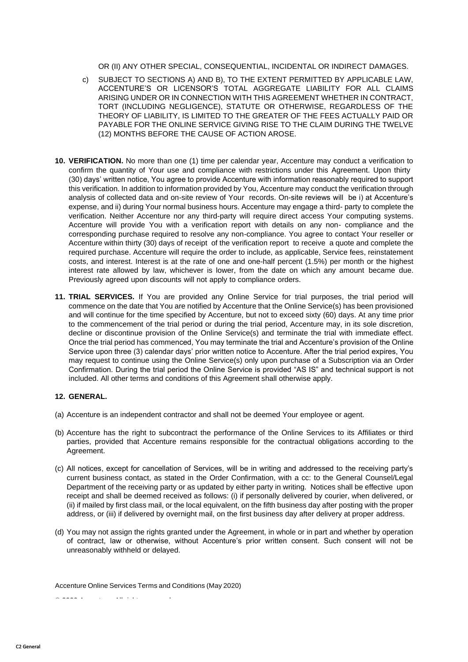OR (II) ANY OTHER SPECIAL, CONSEQUENTIAL, INCIDENTAL OR INDIRECT DAMAGES.

- c) SUBJECT TO SECTIONS A) AND B), TO THE EXTENT PERMITTED BY APPLICABLE LAW, ACCENTURE'S OR LICENSOR'S TOTAL AGGREGATE LIABILITY FOR ALL CLAIMS ARISING UNDER OR IN CONNECTION WITH THIS AGREEMENT WHETHER IN CONTRACT, TORT (INCLUDING NEGLIGENCE), STATUTE OR OTHERWISE, REGARDLESS OF THE THEORY OF LIABILITY, IS LIMITED TO THE GREATER OF THE FEES ACTUALLY PAID OR PAYABLE FOR THE ONLINE SERVICE GIVING RISE TO THE CLAIM DURING THE TWELVE (12) MONTHS BEFORE THE CAUSE OF ACTION AROSE.
- **10. VERIFICATION.** No more than one (1) time per calendar year, Accenture may conduct a verification to confirm the quantity of Your use and compliance with restrictions under this Agreement. Upon thirty (30) days' written notice, You agree to provide Accenture with information reasonably required to support this verification. In addition to information provided by You, Accenture may conduct the verification through analysis of collected data and on-site review of Your records. On-site reviews will be i) at Accenture's expense, and ii) during Your normal business hours. Accenture may engage a third- party to complete the verification. Neither Accenture nor any third-party will require direct access Your computing systems. Accenture will provide You with a verification report with details on any non- compliance and the corresponding purchase required to resolve any non-compliance. You agree to contact Your reseller or Accenture within thirty (30) days of receipt of the verification report to receive a quote and complete the required purchase. Accenture will require the order to include, as applicable, Service fees, reinstatement costs, and interest. Interest is at the rate of one and one-half percent (1.5%) per month or the highest interest rate allowed by law, whichever is lower, from the date on which any amount became due. Previously agreed upon discounts will not apply to compliance orders.
- **11. TRIAL SERVICES.** If You are provided any Online Service for trial purposes, the trial period will commence on the date that You are notified by Accenture that the Online Service(s) has been provisioned and will continue for the time specified by Accenture, but not to exceed sixty (60) days. At any time prior to the commencement of the trial period or during the trial period, Accenture may, in its sole discretion, decline or discontinue provision of the Online Service(s) and terminate the trial with immediate effect. Once the trial period has commenced, You may terminate the trial and Accenture's provision of the Online Service upon three (3) calendar days' prior written notice to Accenture. After the trial period expires, You may request to continue using the Online Service(s) only upon purchase of a Subscription via an Order Confirmation. During the trial period the Online Service is provided "AS IS" and technical support is not included. All other terms and conditions of this Agreement shall otherwise apply.

#### **12. GENERAL.**

- (a) Accenture is an independent contractor and shall not be deemed Your employee or agent.
- (b) Accenture has the right to subcontract the performance of the Online Services to its Affiliates or third parties, provided that Accenture remains responsible for the contractual obligations according to the Agreement.
- (c) All notices, except for cancellation of Services, will be in writing and addressed to the receiving party's current business contact, as stated in the Order Confirmation, with a cc: to the General Counsel/Legal Department of the receiving party or as updated by either party in writing. Notices shall be effective upon receipt and shall be deemed received as follows: (i) if personally delivered by courier, when delivered, or (ii) if mailed by first class mail, or the local equivalent, on the fifth business day after posting with the proper address, or (iii) if delivered by overnight mail, on the first business day after delivery at proper address.
- (d) You may not assign the rights granted under the Agreement, in whole or in part and whether by operation of contract, law or otherwise, without Accenture's prior written consent. Such consent will not be unreasonably withheld or delayed.

Accenture Online Services Terms and Conditions (May 2020)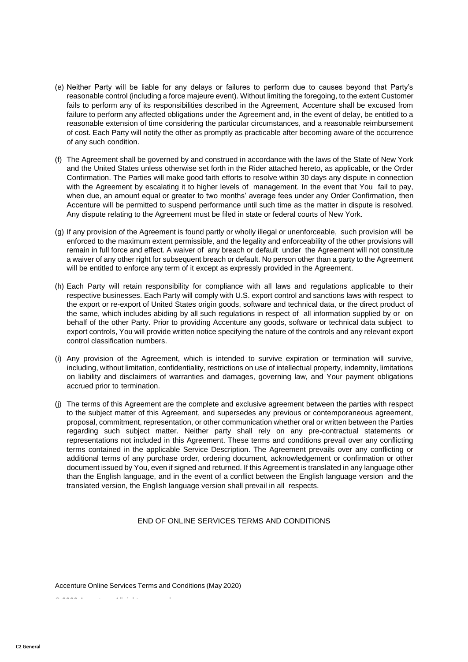- (e) Neither Party will be liable for any delays or failures to perform due to causes beyond that Party's reasonable control (including a force majeure event). Without limiting the foregoing, to the extent Customer fails to perform any of its responsibilities described in the Agreement, Accenture shall be excused from failure to perform any affected obligations under the Agreement and, in the event of delay, be entitled to a reasonable extension of time considering the particular circumstances, and a reasonable reimbursement of cost. Each Party will notify the other as promptly as practicable after becoming aware of the occurrence of any such condition.
- (f) The Agreement shall be governed by and construed in accordance with the laws of the State of New York and the United States unless otherwise set forth in the Rider attached hereto, as applicable, or the Order Confirmation. The Parties will make good faith efforts to resolve within 30 days any dispute in connection with the Agreement by escalating it to higher levels of management. In the event that You fail to pay, when due, an amount equal or greater to two months' average fees under any Order Confirmation, then Accenture will be permitted to suspend performance until such time as the matter in dispute is resolved. Any dispute relating to the Agreement must be filed in state or federal courts of New York.
- (g) If any provision of the Agreement is found partly or wholly illegal or unenforceable, such provision will be enforced to the maximum extent permissible, and the legality and enforceability of the other provisions will remain in full force and effect. A waiver of any breach or default under the Agreement will not constitute a waiver of any other right for subsequent breach or default. No person other than a party to the Agreement will be entitled to enforce any term of it except as expressly provided in the Agreement.
- (h) Each Party will retain responsibility for compliance with all laws and regulations applicable to their respective businesses. Each Party will comply with U.S. export control and sanctions laws with respect to the export or re-export of United States origin goods, software and technical data, or the direct product of the same, which includes abiding by all such regulations in respect of all information supplied by or on behalf of the other Party. Prior to providing Accenture any goods, software or technical data subject to export controls, You will provide written notice specifying the nature of the controls and any relevant export control classification numbers.
- (i) Any provision of the Agreement, which is intended to survive expiration or termination will survive, including, without limitation, confidentiality, restrictions on use of intellectual property, indemnity, limitations on liability and disclaimers of warranties and damages, governing law, and Your payment obligations accrued prior to termination.
- (j) The terms of this Agreement are the complete and exclusive agreement between the parties with respect to the subject matter of this Agreement, and supersedes any previous or contemporaneous agreement, proposal, commitment, representation, or other communication whether oral or written between the Parties regarding such subject matter. Neither party shall rely on any pre-contractual statements or representations not included in this Agreement. These terms and conditions prevail over any conflicting terms contained in the applicable Service Description. The Agreement prevails over any conflicting or additional terms of any purchase order, ordering document, acknowledgement or confirmation or other document issued by You, even if signed and returned. If this Agreement is translated in any language other than the English language, and in the event of a conflict between the English language version and the translated version, the English language version shall prevail in all respects.

### END OF ONLINE SERVICES TERMS AND CONDITIONS

Accenture Online Services Terms and Conditions (May 2020)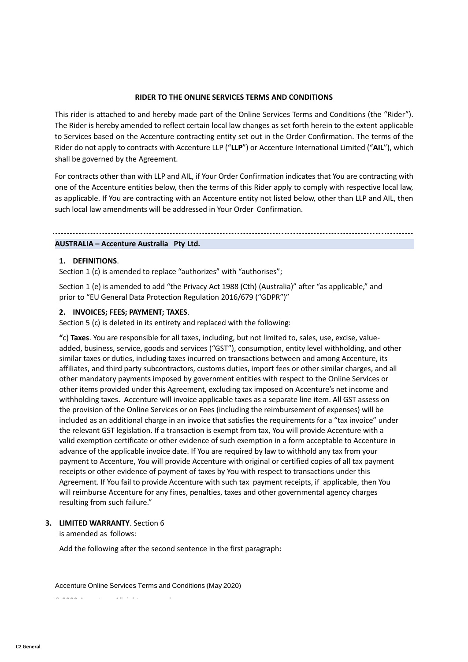#### **RIDER TO THE ONLINE SERVICES TERMS AND CONDITIONS**

This rider is attached to and hereby made part of the Online Services Terms and Conditions (the "Rider"). The Rider is hereby amended to reflect certain local law changes as set forth herein to the extent applicable to Services based on the Accenture contracting entity set out in the Order Confirmation. The terms of the Rider do not apply to contracts with Accenture LLP ("**LLP**") or Accenture International Limited ("**AIL**"), which shall be governed by the Agreement.

For contracts other than with LLP and AIL, if Your Order Confirmation indicates that You are contracting with one of the Accenture entities below, then the terms of this Rider apply to comply with respective local law, as applicable. If You are contracting with an Accenture entity not listed below, other than LLP and AIL, then such local law amendments will be addressed in Your Order Confirmation.

# **AUSTRALIA – Accenture Australia Pty Ltd.**

### **1. DEFINITIONS**.

Section 1 (c) is amended to replace "authorizes" with "authorises";

Section 1 (e) is amended to add "the Privacy Act 1988 (Cth) (Australia)" after "as applicable," and prior to "EU General Data Protection Regulation 2016/679 ("GDPR")"

#### **2. INVOICES; FEES; PAYMENT; TAXES**.

Section 5 (c) is deleted in its entirety and replaced with the following:

**"**c) **Taxes**. You are responsible for all taxes, including, but not limited to, sales, use, excise, valueadded, business, service, goods and services ("GST"), consumption, entity level withholding, and other similar taxes or duties, including taxes incurred on transactions between and among Accenture, its affiliates, and third party subcontractors, customs duties, import fees or other similar charges, and all other mandatory payments imposed by government entities with respect to the Online Services or other items provided under this Agreement, excluding tax imposed on Accenture's net income and withholding taxes. Accenture will invoice applicable taxes as a separate line item. All GST assess on the provision of the Online Services or on Fees (including the reimbursement of expenses) will be included as an additional charge in an invoice that satisfies the requirements for a "tax invoice" under the relevant GST legislation. If a transaction is exempt from tax, You will provide Accenture with a valid exemption certificate or other evidence of such exemption in a form acceptable to Accenture in advance of the applicable invoice date. If You are required by law to withhold any tax from your payment to Accenture, You will provide Accenture with original or certified copies of all tax payment receipts or other evidence of payment of taxes by You with respect to transactions under this Agreement. If You fail to provide Accenture with such tax payment receipts, if applicable, then You will reimburse Accenture for any fines, penalties, taxes and other governmental agency charges resulting from such failure."

### **3. LIMITED WARRANTY**. Section 6

is amended as follows:

Add the following after the second sentence in the first paragraph:

Accenture Online Services Terms and Conditions (May 2020)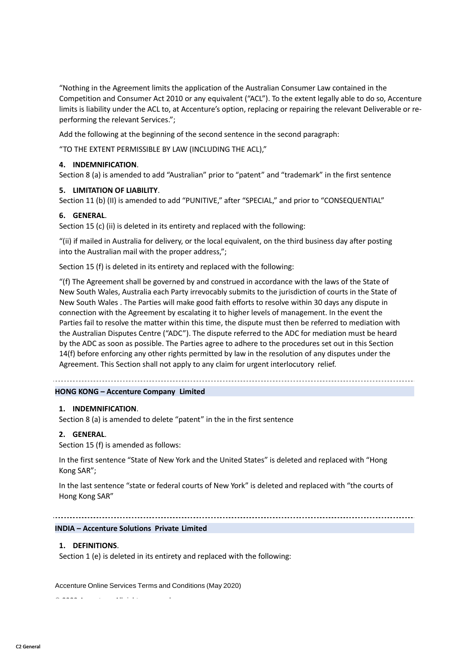"Nothing in the Agreement limits the application of the Australian Consumer Law contained in the Competition and Consumer Act 2010 or any equivalent ("ACL"). To the extent legally able to do so, Accenture limits is liability under the ACL to, at Accenture's option, replacing or repairing the relevant Deliverable or reperforming the relevant Services.";

Add the following at the beginning of the second sentence in the second paragraph:

"TO THE EXTENT PERMISSIBLE BY LAW (INCLUDING THE ACL),"

### **4. INDEMNIFICATION**.

Section 8 (a) is amended to add "Australian" prior to "patent" and "trademark" in the first sentence

### **5. LIMITATION OF LIABILITY**.

Section 11 (b) (II) is amended to add "PUNITIVE," after "SPECIAL," and prior to "CONSEQUENTIAL"

### **6. GENERAL**.

Section 15 (c) (ii) is deleted in its entirety and replaced with the following:

"(ii) if mailed in Australia for delivery, or the local equivalent, on the third business day after posting into the Australian mail with the proper address,";

Section 15 (f) is deleted in its entirety and replaced with the following:

"(f) The Agreement shall be governed by and construed in accordance with the laws of the State of New South Wales, Australia each Party irrevocably submits to the jurisdiction of courts in the State of New South Wales . The Parties will make good faith efforts to resolve within 30 days any dispute in connection with the Agreement by escalating it to higher levels of management. In the event the Parties fail to resolve the matter within this time, the dispute must then be referred to mediation with the Australian Disputes Centre ("ADC"). The dispute referred to the ADC for mediation must be heard by the ADC as soon as possible. The Parties agree to adhere to the procedures set out in this Section 14(f) before enforcing any other rights permitted by law in the resolution of any disputes under the Agreement. This Section shall not apply to any claim for urgent interlocutory relief.

### **HONG KONG – Accenture Company Limited**

### **1. INDEMNIFICATION**.

Section 8 (a) is amended to delete "patent" in the in the first sentence

### **2. GENERAL**.

Section 15 (f) is amended as follows:

In the first sentence "State of New York and the United States" is deleted and replaced with "Hong Kong SAR";

In the last sentence "state or federal courts of New York" is deleted and replaced with "the courts of Hong Kong SAR"

**INDIA – Accenture Solutions Private Limited**

### **1. DEFINITIONS**.

Section 1 (e) is deleted in its entirety and replaced with the following:

Accenture Online Services Terms and Conditions (May 2020)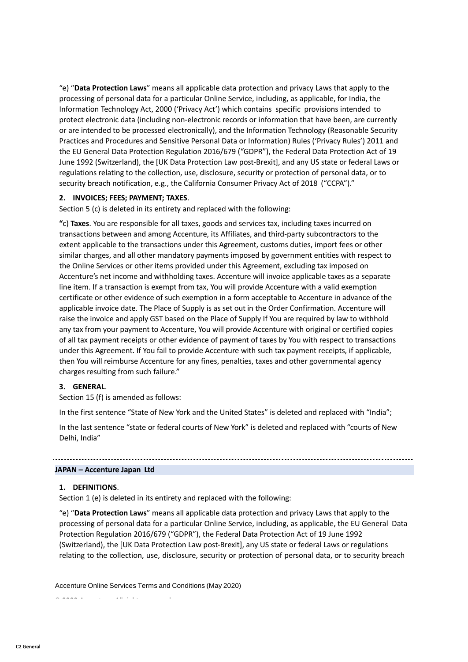"e) "**Data Protection Laws**" means all applicable data protection and privacy Laws that apply to the processing of personal data for a particular Online Service, including, as applicable, for India, the Information Technology Act, 2000 ('Privacy Act') which contains specific provisions intended to protect electronic data (including non-electronic records or information that have been, are currently or are intended to be processed electronically), and the Information Technology (Reasonable Security Practices and Procedures and Sensitive Personal Data or Information) Rules ('Privacy Rules') 2011 and the EU General Data Protection Regulation 2016/679 ("GDPR"), the Federal Data Protection Act of 19 June 1992 (Switzerland), the [UK Data Protection Law post-Brexit], and any US state or federal Laws or regulations relating to the collection, use, disclosure, security or protection of personal data, or to security breach notification, e.g., the California Consumer Privacy Act of 2018 ("CCPA")."

### **2. INVOICES; FEES; PAYMENT; TAXES**.

Section 5 (c) is deleted in its entirety and replaced with the following:

**"**c) **Taxes**. You are responsible for all taxes, goods and services tax, including taxes incurred on transactions between and among Accenture, its Affiliates, and third-party subcontractors to the extent applicable to the transactions under this Agreement, customs duties, import fees or other similar charges, and all other mandatory payments imposed by government entities with respect to the Online Services or other items provided under this Agreement, excluding tax imposed on Accenture's net income and withholding taxes. Accenture will invoice applicable taxes as a separate line item. If a transaction is exempt from tax, You will provide Accenture with a valid exemption certificate or other evidence of such exemption in a form acceptable to Accenture in advance of the applicable invoice date. The Place of Supply is as set out in the Order Confirmation. Accenture will raise the invoice and apply GST based on the Place of Supply If You are required by law to withhold any tax from your payment to Accenture, You will provide Accenture with original or certified copies of all tax payment receipts or other evidence of payment of taxes by You with respect to transactions under this Agreement. If You fail to provide Accenture with such tax payment receipts, if applicable, then You will reimburse Accenture for any fines, penalties, taxes and other governmental agency charges resulting from such failure."

# **3. GENERAL**.

Section 15 (f) is amended as follows:

In the first sentence "State of New York and the United States" is deleted and replaced with "India";

In the last sentence "state or federal courts of New York" is deleted and replaced with "courts of New Delhi, India"

### **JAPAN – Accenture Japan Ltd**

### **1. DEFINITIONS**.

Section 1 (e) is deleted in its entirety and replaced with the following:

"e) "**Data Protection Laws**" means all applicable data protection and privacy Laws that apply to the processing of personal data for a particular Online Service, including, as applicable, the EU General Data Protection Regulation 2016/679 ("GDPR"), the Federal Data Protection Act of 19 June 1992 (Switzerland), the [UK Data Protection Law post-Brexit], any US state or federal Laws or regulations relating to the collection, use, disclosure, security or protection of personal data, or to security breach

Accenture Online Services Terms and Conditions (May 2020)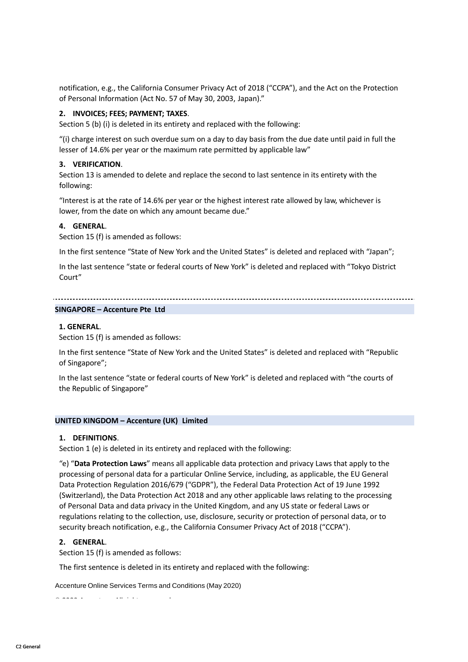notification, e.g., the California Consumer Privacy Act of 2018 ("CCPA"), and the Act on the Protection of Personal Information (Act No. 57 of May 30, 2003, Japan)."

### **2. INVOICES; FEES; PAYMENT; TAXES**.

Section 5 (b) (i) is deleted in its entirety and replaced with the following:

"(i) charge interest on such overdue sum on a day to day basis from the due date until paid in full the lesser of 14.6% per year or the maximum rate permitted by applicable law"

### **3. VERIFICATION**.

Section 13 is amended to delete and replace the second to last sentence in its entirety with the following:

"Interest is at the rate of 14.6% per year or the highest interest rate allowed by law, whichever is lower, from the date on which any amount became due."

### **4. GENERAL**.

Section 15 (f) is amended as follows:

In the first sentence "State of New York and the United States" is deleted and replaced with "Japan";

In the last sentence "state or federal courts of New York" is deleted and replaced with "Tokyo District Court"

#### 

### **SINGAPORE – Accenture Pte Ltd**

### **1. GENERAL**.

Section 15 (f) is amended as follows:

In the first sentence "State of New York and the United States" is deleted and replaced with "Republic of Singapore";

In the last sentence "state or federal courts of New York" is deleted and replaced with "the courts of the Republic of Singapore"

### **UNITED KINGDOM – Accenture (UK) Limited**

### **1. DEFINITIONS**.

Section 1 (e) is deleted in its entirety and replaced with the following:

"e) "**Data Protection Laws**" means all applicable data protection and privacy Laws that apply to the processing of personal data for a particular Online Service, including, as applicable, the EU General Data Protection Regulation 2016/679 ("GDPR"), the Federal Data Protection Act of 19 June 1992 (Switzerland), the Data Protection Act 2018 and any other applicable laws relating to the processing of Personal Data and data privacy in the United Kingdom, and any US state or federal Laws or regulations relating to the collection, use, disclosure, security or protection of personal data, or to security breach notification, e.g., the California Consumer Privacy Act of 2018 ("CCPA").

### **2. GENERAL**.

Section 15 (f) is amended as follows:

The first sentence is deleted in its entirety and replaced with the following:

Accenture Online Services Terms and Conditions (May 2020)